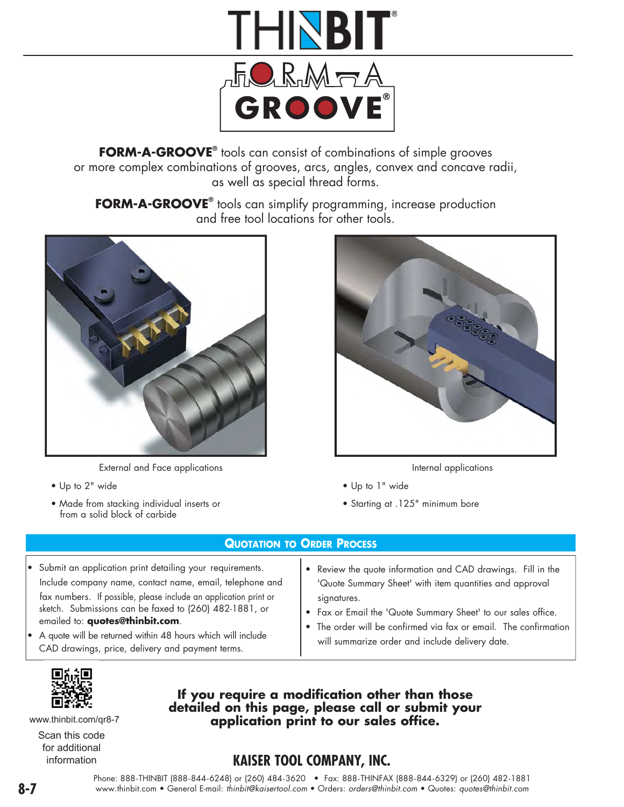

**FORM-A-GROOVE®** tools can consist of combinations of simple grooves or more complex combinations of grooves, arcs, angles, convex and concave radii, as well as special thread forms.

**FORM-A-GROOVE®** tools can simplify programming, increase production and free tool locations for other tools.



External and Face applications

• Up to 2" wide

• Made from stacking individual inserts or from a solid block of carbide



- Internal applications
- Up to 1" wide
- Starting at .125" minimum bore

• Review the quote information and CAD drawings. Fill in the 'Quote Summary Sheet' with item quantities and approval

• Fax or Email the 'Quote Summary Sheet' to our sales office. The order will be confirmed via fax or email. The confirmation

will summarize order and include delivery date.

#### **QUOTATION TO ORDER PROCESS**

- Submit an application print detailing your requirements. Include company name, contact name, email, telephone and fax numbers. If possible, please include an application print or sketch. Submissions can be faxed to (260) 482-1881, or emailed to: **quotes@thinbit.com**.
- A quote will be returned within 48 hours which will include CAD drawings, price, delivery and payment terms.
	-

www.thinbit.com/qr8-7

Scan this code for additional information

## **If you require a modification other than those detailed on this page, please call or submit your application print to our sales office.**

signatures.

## **KAISER TOOL COMPANY, INC.**

Phone: 888-THINBIT (888-844-6248) or (260) 484-3620 • Fax: 888-THINFAX (888-844-6329) or (260) 482-1881 **8-7** www.thinbit.com • General E-mail: *thinbit@kaisertool.com* • Orders: *orders@thinbit.com* • Quotes: *quotes@thinbit.com*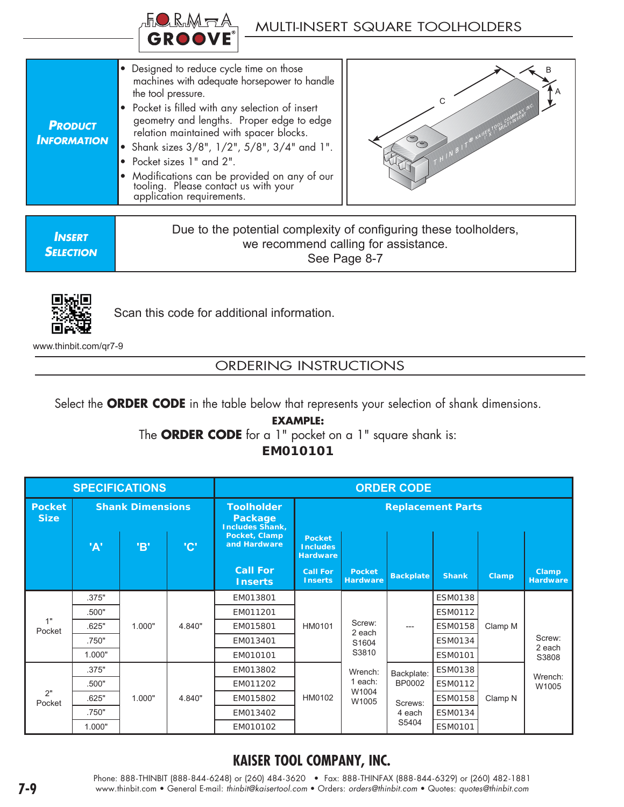

| <b>PRODUCT</b><br><b>INFORMATION</b> | • Designed to reduce cycle time on those<br>machines with adequate horsepower to handle<br>the tool pressure.<br>• Pocket is filled with any selection of insert<br>geometry and lengths. Proper edge to edge<br>relation maintained with spacer blocks.<br>• Shank sizes $3/8$ ", $1/2$ ", $5/8$ ", $3/4$ " and 1".<br>• Pocket sizes 1" and 2".<br>• Modifications can be provided on any of our<br>tooling. Please contact us with your<br>application requirements. |  |
|--------------------------------------|-------------------------------------------------------------------------------------------------------------------------------------------------------------------------------------------------------------------------------------------------------------------------------------------------------------------------------------------------------------------------------------------------------------------------------------------------------------------------|--|



*INSERT SELECTION* Due to the potential complexity of configuring these toolholders, we recommend calling for assistance. See Page 8-7



Scan this code for additional information.

www.thinbit.com/qr7-9

## ORDERING INSTRUCTIONS

Select the **ORDER CODE** in the table below that represents your selection of shank dimensions.

### **EXAMPLE:**  The **ORDER CODE** for a 1" pocket on a 1" square shank is: **EM010101**

| <b>SPECIFICATIONS</b>        |                         |        | <b>ORDER CODE</b> |                                                        |                                                     |                                    |                  |                |         |                                 |
|------------------------------|-------------------------|--------|-------------------|--------------------------------------------------------|-----------------------------------------------------|------------------------------------|------------------|----------------|---------|---------------------------------|
| <b>Pocket</b><br><b>Size</b> | <b>Shank Dimensions</b> |        |                   | <b>Toolholder</b><br>Package<br><b>Includes Shank,</b> | <b>Replacement Parts</b>                            |                                    |                  |                |         |                                 |
|                              | 'A'                     | 'В'    | 'C'               | Pocket, Clamp<br>and Hardware                          | <b>Pocket</b><br><b>Includes</b><br><b>Hardware</b> |                                    |                  |                |         |                                 |
|                              |                         |        |                   | <b>Call For</b><br><b>Inserts</b>                      | <b>Call For</b><br><b>Inserts</b>                   | <b>Pocket</b><br><b>Hardware</b>   | <b>Backplate</b> | <b>Shank</b>   | Clamp   | <b>Clamp</b><br><b>Hardware</b> |
|                              | .375"                   |        | 4.840"            | EM013801                                               | HM0101                                              | Screw:<br>2 each<br>S1604<br>S3810 | $---$            | <b>ESM0138</b> | Clamp M |                                 |
|                              | .500"                   |        |                   | EM011201                                               |                                                     |                                    |                  | <b>ESM0112</b> |         |                                 |
| 1"<br>Pocket                 | .625"                   | 1.000" |                   | EM015801                                               |                                                     |                                    |                  | <b>ESM0158</b> |         |                                 |
|                              | .750"                   |        |                   | EM013401                                               |                                                     |                                    |                  | <b>ESM0134</b> |         | Screw:<br>2 each                |
|                              | 1.000"                  |        |                   | EM010101                                               |                                                     |                                    |                  | <b>ESM0101</b> |         | S3808                           |
| 2"<br>Pocket                 | .375"                   |        |                   | EM013802                                               |                                                     | Wrench:                            | Backplate:       | <b>ESM0138</b> |         | Wrench:                         |
|                              | .500"                   |        | EM011202          |                                                        | 1 each:                                             | <b>BP0002</b>                      | <b>ESM0112</b>   |                | W1005   |                                 |
|                              | .625"                   | 1.000" | 4.840"            | EM015802                                               | HM0102                                              | W1004<br>W1005                     | Screws:          | <b>ESM0158</b> | Clamp N |                                 |
|                              | .750"                   |        | EM013402          |                                                        |                                                     | 4 each                             | ESM0134          |                |         |                                 |
|                              | 1.000"                  |        |                   | EM010102                                               |                                                     |                                    | S5404            | <b>ESM0101</b> |         |                                 |

## **KAISER TOOL COMPANY, INC.**

Phone: 888-THINBIT (888-844-6248) or (260) 484-3620 • Fax: 888-THINFAX (888-844-6329) or (260) 482-1881 **7-9** www.thinbit.com • General E-mail: *thinbit@kaisertool.com* • Orders: *orders@thinbit.com* • Quotes: *quotes@thinbit.com*